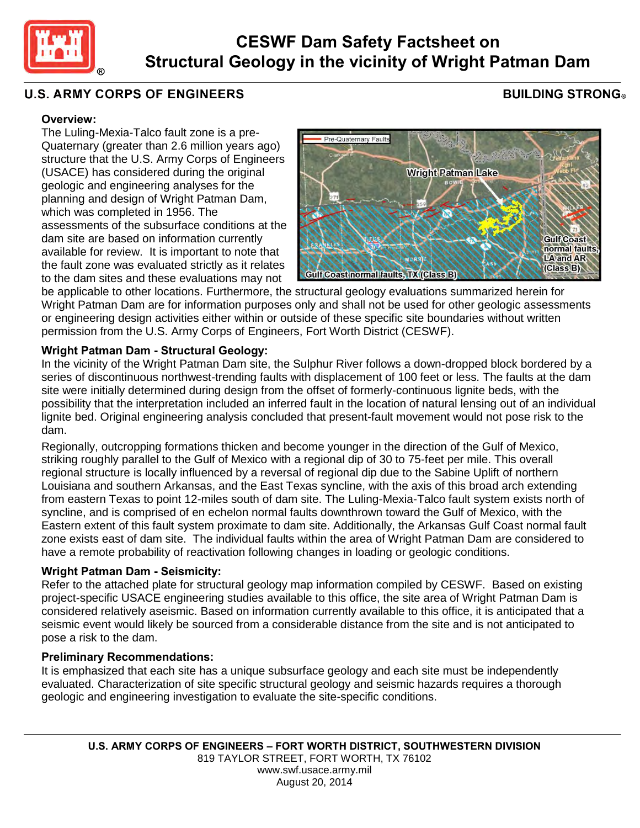

# **CESWF Dam Safety Factsheet on Structural Geology in the vicinity of Wright Patman Dam**

## **U.S. ARMY CORPS OF ENGINEERS**

# **BUILDING STRONG**

#### **Overview:**

The Luling-Mexia-Talco fault zone is a pre-Quaternary (greater than 2.6 million years ago) structure that the U.S. Army Corps of Engineers (USACE) has considered during the original geologic and engineering analyses for the planning and design of Wright Patman Dam, which was completed in 1956. The assessments of the subsurface conditions at the dam site are based on information currently available for review. It is important to note that the fault zone was evaluated strictly as it relates to the dam sites and these evaluations may not



be applicable to other locations. Furthermore, the structural geology evaluations summarized herein for Wright Patman Dam are for information purposes only and shall not be used for other geologic assessments or engineering design activities either within or outside of these specific site boundaries without written permission from the U.S. Army Corps of Engineers, Fort Worth District (CESWF).

### **Wright Patman Dam - Structural Geology:**

In the vicinity of the Wright Patman Dam site, the Sulphur River follows a down-dropped block bordered by a series of discontinuous northwest-trending faults with displacement of 100 feet or less. The faults at the dam site were initially determined during design from the offset of formerly-continuous lignite beds, with the possibility that the interpretation included an inferred fault in the location of natural lensing out of an individual lignite bed. Original engineering analysis concluded that present-fault movement would not pose risk to the dam.

Regionally, outcropping formations thicken and become younger in the direction of the Gulf of Mexico, striking roughly parallel to the Gulf of Mexico with a regional dip of 30 to 75-feet per mile. This overall regional structure is locally influenced by a reversal of regional dip due to the Sabine Uplift of northern Louisiana and southern Arkansas, and the East Texas syncline, with the axis of this broad arch extending from eastern Texas to point 12-miles south of dam site. The Luling-Mexia-Talco fault system exists north of syncline, and is comprised of en echelon normal faults downthrown toward the Gulf of Mexico, with the Eastern extent of this fault system proximate to dam site. Additionally, the Arkansas Gulf Coast normal fault zone exists east of dam site. The individual faults within the area of Wright Patman Dam are considered to have a remote probability of reactivation following changes in loading or geologic conditions.

#### **Wright Patman Dam - Seismicity:**

Refer to the attached plate for structural geology map information compiled by CESWF. Based on existing project-specific USACE engineering studies available to this office, the site area of Wright Patman Dam is considered relatively aseismic. Based on information currently available to this office, it is anticipated that a seismic event would likely be sourced from a considerable distance from the site and is not anticipated to pose a risk to the dam.

#### **Preliminary Recommendations:**

It is emphasized that each site has a unique subsurface geology and each site must be independently evaluated. Characterization of site specific structural geology and seismic hazards requires a thorough geologic and engineering investigation to evaluate the site-specific conditions.